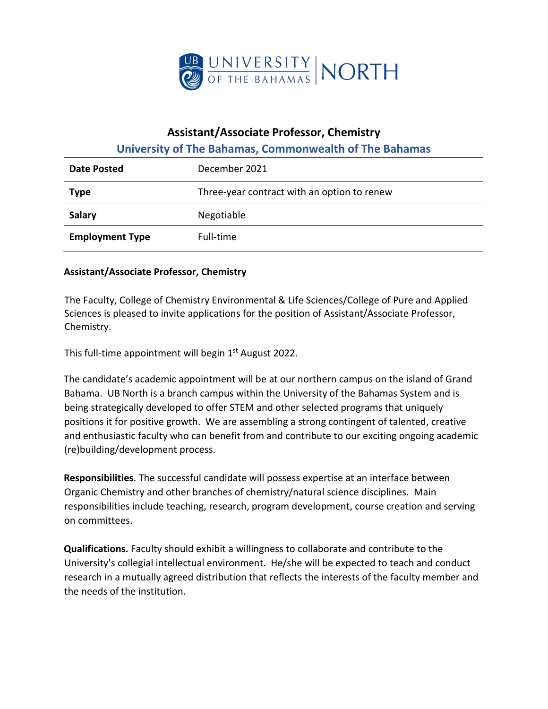

## **Assistant/Associate Professor, Chemistry**

## **University of The Bahamas, Commonwealth of The Bahamas**

| Date Posted            | December 2021                               |
|------------------------|---------------------------------------------|
| <b>Type</b>            | Three-year contract with an option to renew |
| Salary                 | Negotiable                                  |
| <b>Employment Type</b> | Full-time                                   |

## **Assistant/Associate Professor, Chemistry**

The Faculty, College of Chemistry Environmental & Life Sciences/College of Pure and Applied Sciences is pleased to invite applications for the position of Assistant/Associate Professor, Chemistry.

This full-time appointment will begin 1<sup>st</sup> August 2022.

The candidate's academic appointment will be at our northern campus on the island of Grand Bahama. UB North is a branch campus within the University of the Bahamas System and is being strategically developed to offer STEM and other selected programs that uniquely positions it for positive growth. We are assembling a strong contingent of talented, creative and enthusiastic faculty who can benefit from and contribute to our exciting ongoing academic (re)building/development process.

**Responsibilities**. The successful candidate will possess expertise at an interface between Organic Chemistry and other branches of chemistry/natural science disciplines. Main responsibilities include teaching, research, program development, course creation and serving on committees.

**Qualifications.** Faculty should exhibit a willingness to collaborate and contribute to the University's collegial intellectual environment. He/she will be expected to teach and conduct research in a mutually agreed distribution that reflects the interests of the faculty member and the needs of the institution.